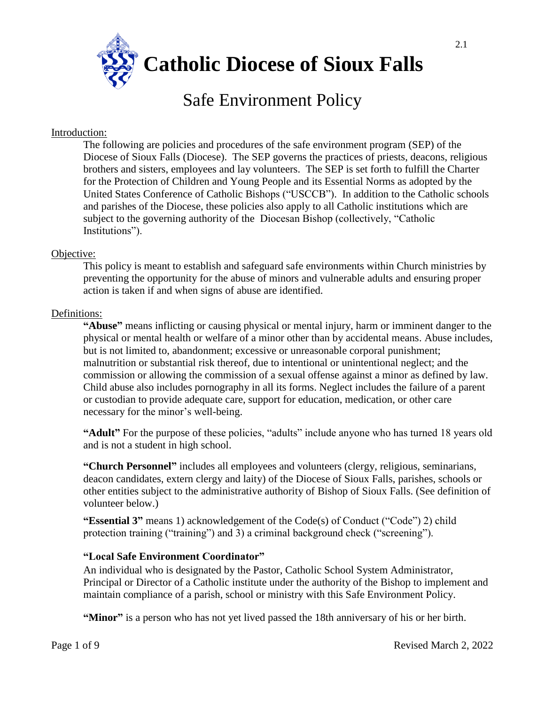**Catholic Diocese of Sioux Falls**

# Safe Environment Policy

## Introduction:

The following are policies and procedures of the safe environment program (SEP) of the Diocese of Sioux Falls (Diocese). The SEP governs the practices of priests, deacons, religious brothers and sisters, employees and lay volunteers. The SEP is set forth to fulfill the Charter for the Protection of Children and Young People and its Essential Norms as adopted by the United States Conference of Catholic Bishops ("USCCB"). In addition to the Catholic schools and parishes of the Diocese, these policies also apply to all Catholic institutions which are subject to the governing authority of the Diocesan Bishop (collectively, "Catholic Institutions").

#### Objective:

This policy is meant to establish and safeguard safe environments within Church ministries by preventing the opportunity for the abuse of minors and vulnerable adults and ensuring proper action is taken if and when signs of abuse are identified.

#### Definitions:

**"Abuse"** means inflicting or causing physical or mental injury, harm or imminent danger to the physical or mental health or welfare of a minor other than by accidental means. Abuse includes, but is not limited to, abandonment; excessive or unreasonable corporal punishment; malnutrition or substantial risk thereof, due to intentional or unintentional neglect; and the commission or allowing the commission of a sexual offense against a minor as defined by law. Child abuse also includes pornography in all its forms. Neglect includes the failure of a parent or custodian to provide adequate care, support for education, medication, or other care necessary for the minor's well-being.

**"Adult"** For the purpose of these policies, "adults" include anyone who has turned 18 years old and is not a student in high school.

**"Church Personnel"** includes all employees and volunteers (clergy, religious, seminarians, deacon candidates, extern clergy and laity) of the Diocese of Sioux Falls, parishes, schools or other entities subject to the administrative authority of Bishop of Sioux Falls. (See definition of volunteer below.)

**"Essential 3"** means 1) acknowledgement of the Code(s) of Conduct ("Code") 2) child protection training ("training") and 3) a criminal background check ("screening").

#### **"Local Safe Environment Coordinator"**

An individual who is designated by the Pastor, Catholic School System Administrator, Principal or Director of a Catholic institute under the authority of the Bishop to implement and maintain compliance of a parish, school or ministry with this Safe Environment Policy.

**"Minor"** is a person who has not yet lived passed the 18th anniversary of his or her birth.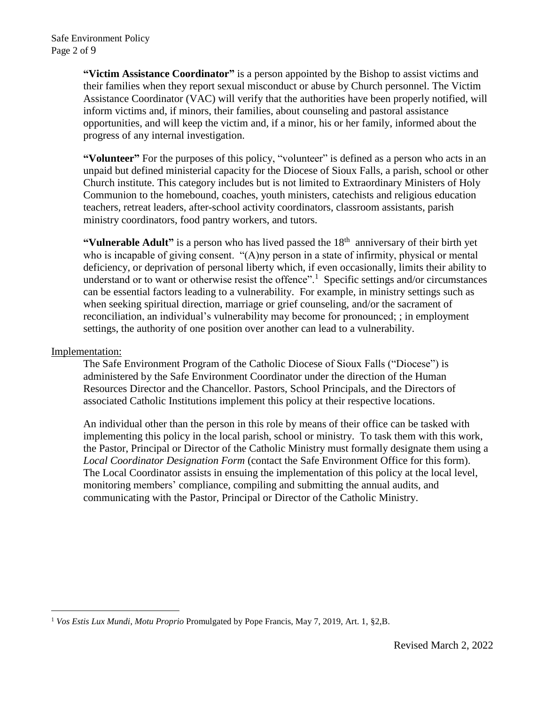**"Victim Assistance Coordinator"** is a person appointed by the Bishop to assist victims and their families when they report sexual misconduct or abuse by Church personnel. The Victim Assistance Coordinator (VAC) will verify that the authorities have been properly notified, will inform victims and, if minors, their families, about counseling and pastoral assistance opportunities, and will keep the victim and, if a minor, his or her family, informed about the progress of any internal investigation.

**"Volunteer"** For the purposes of this policy, "volunteer" is defined as a person who acts in an unpaid but defined ministerial capacity for the Diocese of Sioux Falls, a parish, school or other Church institute. This category includes but is not limited to Extraordinary Ministers of Holy Communion to the homebound, coaches, youth ministers, catechists and religious education teachers, retreat leaders, after-school activity coordinators, classroom assistants, parish ministry coordinators, food pantry workers, and tutors.

**"Vulnerable Adult"** is a person who has lived passed the 18<sup>th</sup> anniversary of their birth yet who is incapable of giving consent. "(A)ny person in a state of infirmity, physical or mental deficiency, or deprivation of personal liberty which, if even occasionally, limits their ability to understand or to want or otherwise resist the offence".<sup>1</sup> Specific settings and/or circumstances can be essential factors leading to a vulnerability. For example, in ministry settings such as when seeking spiritual direction, marriage or grief counseling, and/or the sacrament of reconciliation, an individual's vulnerability may become for pronounced; ; in employment settings, the authority of one position over another can lead to a vulnerability.

#### Implementation:

1

The Safe Environment Program of the Catholic Diocese of Sioux Falls ("Diocese") is administered by the Safe Environment Coordinator under the direction of the Human Resources Director and the Chancellor. Pastors, School Principals, and the Directors of associated Catholic Institutions implement this policy at their respective locations.

An individual other than the person in this role by means of their office can be tasked with implementing this policy in the local parish, school or ministry. To task them with this work, the Pastor, Principal or Director of the Catholic Ministry must formally designate them using a *Local Coordinator Designation Form* (contact the Safe Environment Office for this form). The Local Coordinator assists in ensuing the implementation of this policy at the local level, monitoring members' compliance, compiling and submitting the annual audits, and communicating with the Pastor, Principal or Director of the Catholic Ministry.

<sup>1</sup> *Vos Estis Lux Mundi*, *Motu Proprio* Promulgated by Pope Francis, May 7, 2019, Art. 1, §2,B.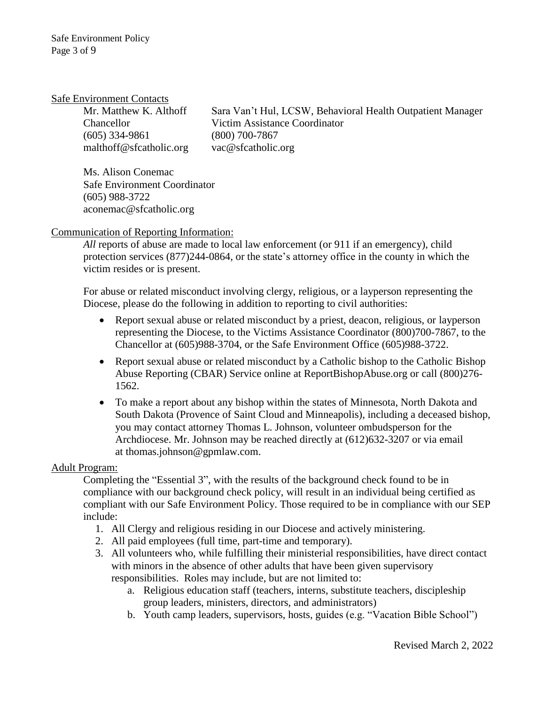#### Safe Environment Contacts

(605) 334-9861 (800) 700-7867 [malthoff@sfcatholic.org](mailto:malthoff@sfcatholic.org) [vac@sfcatholic.org](mailto:vac@sfcatholic.org)

Mr. Matthew K. Althoff Sara Van't Hul, LCSW, Behavioral Health Outpatient Manager Chancellor Victim Assistance Coordinator

Ms. Alison Conemac Safe Environment Coordinator (605) 988-3722 aconemac@sfcatholic.org

Communication of Reporting Information:

*All* reports of abuse are made to [local law enforcement](http://www.southdakotasheriffs.org/county/index.html) (or 911 if an emergency), [child](https://dss.sd.gov/childprotection/reporting.aspx)  [protection](https://dss.sd.gov/childprotection/reporting.aspx) services (877)244-0864, or the [state's attorney office](http://sdstatesattorneys.org/sd-states-attorneys/) in the county in which the victim resides or is present.

For abuse or related misconduct involving clergy, religious, or a layperson representing the Diocese, please do the following in addition to reporting to civil authorities:

- Report sexual abuse or related misconduct by a priest, deacon, religious, or layperson representing the Diocese, to the [Victims Assistance Coordinator](mailto:vac@sfcatholic.org) (800)700-7867, to the Chancellor at (605)988-3704, or the Safe Environment Office (605)988-3722.
- Report sexual abuse or related misconduct by a Catholic bishop to the Catholic Bishop Abuse Reporting (CBAR) Service online at [ReportBishopAbuse.org](https://reportbishopabuse.org/) or call (800)276- 1562.
- To make a report about any bishop within the states of Minnesota, North Dakota and South Dakota (Provence of Saint Cloud and Minneapolis), including a deceased bishop, you may contact attorney Thomas L. Johnson, volunteer ombudsperson for the Archdiocese. Mr. Johnson may be reached directly at (612)632-3207 or via email at [thomas.johnson@gpmlaw.com.](mailto:thomas.johnson@gpmlaw.com)

# Adult Program:

Completing the "Essential 3", with the results of the background check found to be in compliance with our background check policy, will result in an individual being certified as compliant with our Safe Environment Policy. Those required to be in compliance with our SEP include:

- 1. All Clergy and religious residing in our Diocese and actively ministering.
- 2. All paid employees (full time, part-time and temporary).
- 3. All volunteers who, while fulfilling their ministerial responsibilities, have direct contact with minors in the absence of other adults that have been given supervisory responsibilities. Roles may include, but are not limited to:
	- a. Religious education staff (teachers, interns, substitute teachers, discipleship group leaders, ministers, directors, and administrators)
	- b. Youth camp leaders, supervisors, hosts, guides (e.g. "Vacation Bible School")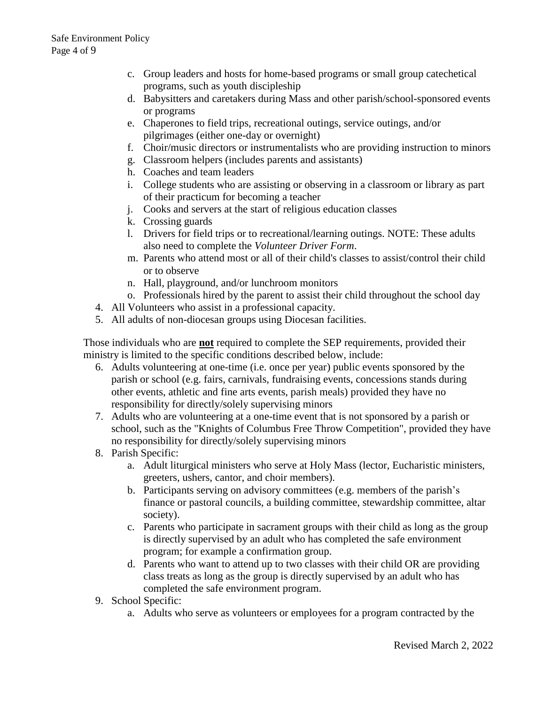- c. Group leaders and hosts for home-based programs or small group catechetical programs, such as youth discipleship
- d. Babysitters and caretakers during Mass and other parish/school-sponsored events or programs
- e. Chaperones to field trips, recreational outings, service outings, and/or pilgrimages (either one-day or overnight)
- f. Choir/music directors or instrumentalists who are providing instruction to minors
- g. Classroom helpers (includes parents and assistants)
- h. Coaches and team leaders
- i. College students who are assisting or observing in a classroom or library as part of their practicum for becoming a teacher
- j. Cooks and servers at the start of religious education classes
- k. Crossing guards
- l. Drivers for field trips or to recreational/learning outings. NOTE: These adults also need to complete the *[Volunteer Driver Form](http://www.google.com/url?q=http%3A%2F%2Fwww.sfcatholic.org%2Fsafe-environment%2Frisk-management%2F&sa=D&sntz=1&usg=AFQjCNG9okkvxlgGGVvX3VUwaCG0WB6I0Q)*.
- m. Parents who attend most or all of their child's classes to assist/control their child or to observe
- n. Hall, playground, and/or lunchroom monitors
- o. Professionals hired by the parent to assist their child throughout the school day
- 4. All Volunteers who assist in a professional capacity.
- 5. All adults of non-diocesan groups using Diocesan facilities.

Those individuals who are **not** required to complete the SEP requirements, provided their ministry is limited to the specific conditions described below, include:

- 6. Adults volunteering at one-time (i.e. once per year) public events sponsored by the parish or school (e.g. fairs, carnivals, fundraising events, concessions stands during other events, athletic and fine arts events, parish meals) provided they have no responsibility for directly/solely supervising minors
- 7. Adults who are volunteering at a one-time event that is not sponsored by a parish or school, such as the "Knights of Columbus Free Throw Competition", provided they have no responsibility for directly/solely supervising minors
- 8. Parish Specific:
	- a. Adult liturgical ministers who serve at Holy Mass (lector, Eucharistic ministers, greeters, ushers, cantor, and choir members).
	- b. Participants serving on advisory committees (e.g. members of the parish's finance or pastoral councils, a building committee, stewardship committee, altar society).
	- c. Parents who participate in sacrament groups with their child as long as the group is directly supervised by an adult who has completed the safe environment program; for example a confirmation group.
	- d. Parents who want to attend up to two classes with their child OR are providing class treats as long as the group is directly supervised by an adult who has completed the safe environment program.
- 9. School Specific:
	- a. Adults who serve as volunteers or employees for a program contracted by the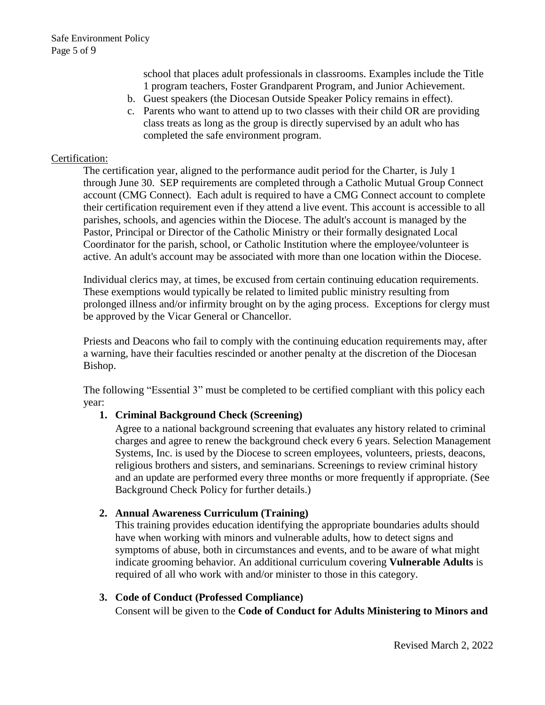school that places adult professionals in classrooms. Examples include the Title 1 program teachers, Foster Grandparent Program, and Junior Achievement.

- b. Guest speakers (the [Diocesan Outside Speaker Policy](http://www.google.com/url?q=http%3A%2F%2Fwww.sfcatholic.org%2Fdiocesan-policies-forms%2F&sa=D&sntz=1&usg=AFQjCNFrNokN5CVfE5m-RIRfD1BQaqhkQQ) remains in effect).
- c. Parents who want to attend up to two classes with their child OR are providing class treats as long as the group is directly supervised by an adult who has completed the safe environment program.

#### Certification:

The certification year, aligned to the performance audit period for the Charter, is July 1 through June 30. SEP requirements are completed through a Catholic Mutual Group Connect account (CMG Connect). Each adult is required to have a CMG Connect account to complete their certification requirement even if they attend a live event. This account is accessible to all parishes, schools, and agencies within the Diocese. The adult's account is managed by the Pastor, Principal or Director of the Catholic Ministry or their formally designated Local Coordinator for the parish, school, or Catholic Institution where the employee/volunteer is active. An adult's account may be associated with more than one location within the Diocese.

Individual clerics may, at times, be excused from certain continuing education requirements. These exemptions would typically be related to limited public ministry resulting from prolonged illness and/or infirmity brought on by the aging process. Exceptions for clergy must be approved by the Vicar General or Chancellor.

Priests and Deacons who fail to comply with the continuing education requirements may, after a warning, have their faculties rescinded or another penalty at the discretion of the Diocesan Bishop.

The following "Essential 3" must be completed to be certified compliant with this policy each year:

#### **1. Criminal Background Check (Screening)**

Agree to a national background screening that evaluates any history related to criminal charges and agree to renew the background check every 6 years. Selection Management Systems, Inc. is used by the Diocese to screen employees, volunteers, priests, deacons, religious brothers and sisters, and seminarians. Screenings to review criminal history and an update are performed every three months or more frequently if appropriate. (See Background Check Policy for further details.)

#### **2. Annual Awareness Curriculum (Training)**

This training provides education identifying the appropriate boundaries adults should have when working with minors and vulnerable adults, how to detect signs and symptoms of abuse, both in circumstances and events, and to be aware of what might indicate grooming behavior. An additional curriculum covering **Vulnerable Adults** is required of all who work with and/or minister to those in this category.

#### **3. Code of Conduct (Professed Compliance)**

Consent will be given to the **Code of Conduct for Adults Ministering to Minors and**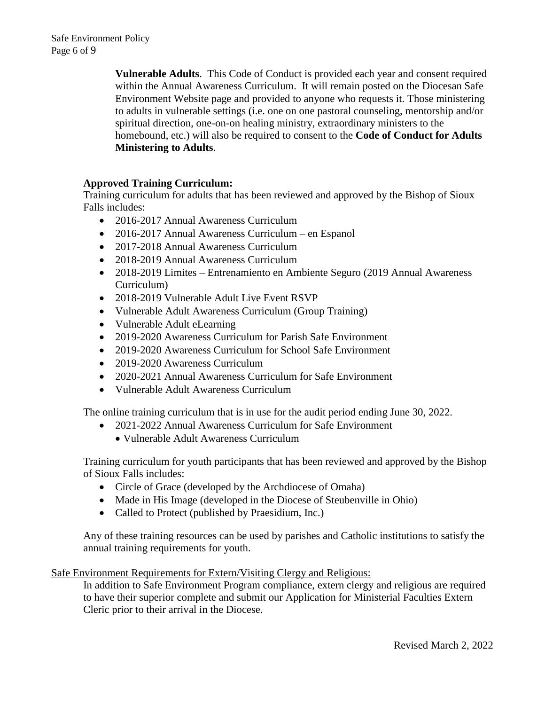**Vulnerable Adults**. This Code of Conduct is provided each year and consent required within the Annual Awareness Curriculum. It will remain posted on the Diocesan Safe Environment Website page and provided to anyone who requests it. Those ministering to adults in vulnerable settings (i.e. one on one pastoral counseling, mentorship and/or spiritual direction, one-on-on healing ministry, extraordinary ministers to the homebound, etc.) will also be required to consent to the **Code of Conduct for Adults Ministering to Adults**.

# **Approved Training Curriculum:**

Training curriculum for adults that has been reviewed and approved by the Bishop of Sioux Falls includes:

- 2016-2017 Annual Awareness Curriculum
- 2016-2017 Annual Awareness Curriculum en Espanol
- 2017-2018 Annual Awareness Curriculum
- 2018-2019 Annual Awareness Curriculum
- 2018-2019 Limites Entrenamiento en Ambiente Seguro (2019 Annual Awareness Curriculum)
- 2018-2019 Vulnerable Adult Live Event RSVP
- Vulnerable Adult Awareness Curriculum (Group Training)
- Vulnerable Adult eLearning
- 2019-2020 Awareness Curriculum for Parish Safe Environment
- 2019-2020 Awareness Curriculum for School Safe Environment
- 2019-2020 Awareness Curriculum
- 2020-2021 Annual Awareness Curriculum for Safe Environment
- Vulnerable Adult Awareness Curriculum

The online training curriculum that is in use for the audit period ending June 30, 2022.

- 2021-2022 Annual Awareness Curriculum for Safe Environment
	- Vulnerable Adult Awareness Curriculum

Training curriculum for youth participants that has been reviewed and approved by the Bishop of Sioux Falls includes:

- Circle of Grace (developed by the Archdiocese of Omaha)
- Made in His Image (developed in the Diocese of Steubenville in Ohio)
- Called to Protect (published by Praesidium, Inc.)

Any of these training resources can be used by parishes and Catholic institutions to satisfy the annual training requirements for youth.

Safe Environment Requirements for Extern/Visiting Clergy and Religious:

In addition to Safe Environment Program compliance, extern clergy and religious are required to have their superior complete and submit our Application for Ministerial Faculties Extern Cleric prior to their arrival in the Diocese.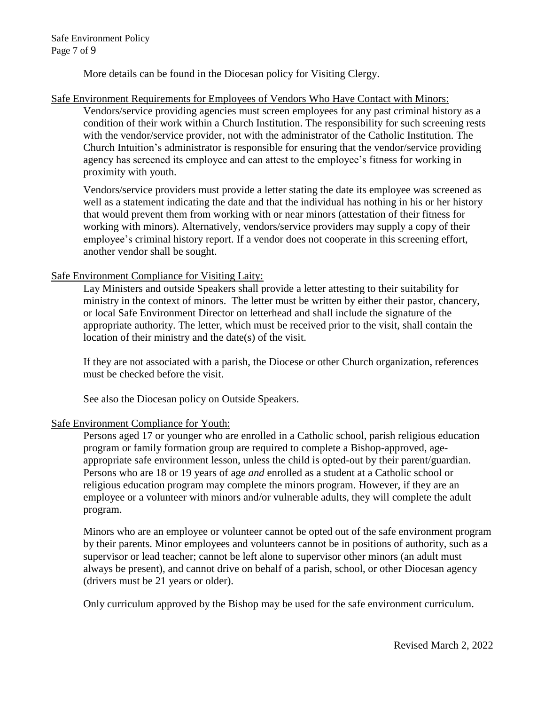Safe Environment Policy Page 7 of 9

More details can be found in the Diocesan policy for Visiting Clergy.

## Safe Environment Requirements for Employees of Vendors Who Have Contact with Minors:

Vendors/service providing agencies must screen employees for any past criminal history as a condition of their work within a Church Institution. The responsibility for such screening rests with the vendor/service provider, not with the administrator of the Catholic Institution. The Church Intuition's administrator is responsible for ensuring that the vendor/service providing agency has screened its employee and can attest to the employee's fitness for working in proximity with youth.

Vendors/service providers must provide a letter stating the date its employee was screened as well as a statement indicating the date and that the individual has nothing in his or her history that would prevent them from working with or near minors (attestation of their fitness for working with minors). Alternatively, vendors/service providers may supply a copy of their employee's criminal history report. If a vendor does not cooperate in this screening effort, another vendor shall be sought.

#### Safe Environment Compliance for Visiting Laity:

Lay Ministers and outside Speakers shall provide a letter attesting to their suitability for ministry in the context of minors. The letter must be written by either their pastor, chancery, or local Safe Environment Director on letterhead and shall include the signature of the appropriate authority. The letter, which must be received prior to the visit, shall contain the location of their ministry and the date(s) of the visit.

If they are not associated with a parish, the Diocese or other Church organization, references must be checked before the visit.

See also the Diocesan policy on Outside Speakers.

#### Safe Environment Compliance for Youth:

Persons aged 17 or younger who are enrolled in a Catholic school, parish religious education program or family formation group are required to complete a Bishop-approved, ageappropriate safe environment lesson, unless the child is opted-out by their parent/guardian. Persons who are 18 or 19 years of age *and* enrolled as a student at a Catholic school or religious education program may complete the minors program. However, if they are an employee or a volunteer with minors and/or vulnerable adults, they will complete the adult program.

Minors who are an employee or volunteer cannot be opted out of the safe environment program by their parents. Minor employees and volunteers cannot be in positions of authority, such as a supervisor or lead teacher; cannot be left alone to supervisor other minors (an adult must always be present), and cannot drive on behalf of a parish, school, or other Diocesan agency (drivers must be 21 years or older).

Only curriculum approved by the Bishop may be used for the safe environment curriculum.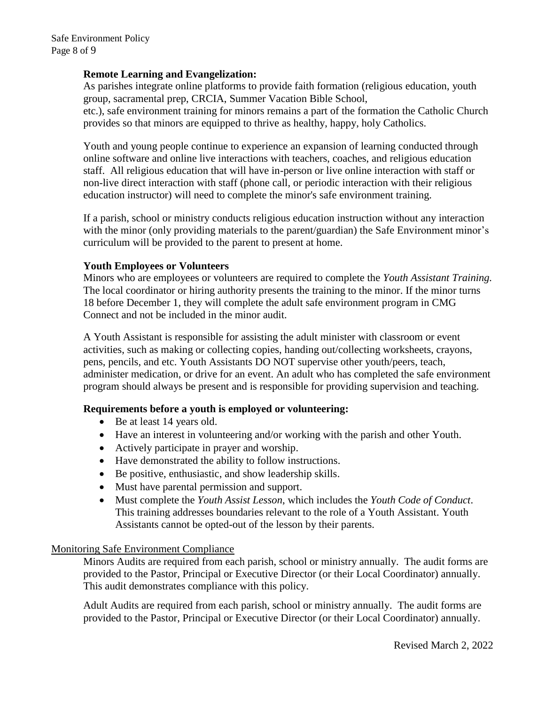## **Remote Learning and Evangelization:**

As parishes integrate online platforms to provide faith formation (religious education, youth group, sacramental prep, CRCIA, Summer Vacation Bible School,

etc.), safe environment training for minors remains a part of the formation the Catholic Church provides so that minors are equipped to thrive as healthy, happy, holy Catholics.

Youth and young people continue to experience an expansion of learning conducted through online software and online live interactions with teachers, coaches, and religious education staff. All religious education that will have in-person or live online interaction with staff or non-live direct interaction with staff (phone call, or periodic interaction with their religious education instructor) will need to complete the minor's safe environment training.

If a parish, school or ministry conducts religious education instruction without any interaction with the minor (only providing materials to the parent/guardian) the Safe Environment minor's curriculum will be provided to the parent to present at home.

#### **Youth Employees or Volunteers**

Minors who are employees or volunteers are required to complete the *Youth Assistant Training.* The local coordinator or hiring authority presents the training to the minor. If the minor turns 18 before December 1, they will complete the adult safe environment program in CMG Connect and not be included in the minor audit.

A Youth Assistant is responsible for assisting the adult minister with classroom or event activities, such as making or collecting copies, handing out/collecting worksheets, crayons, pens, pencils, and etc. Youth Assistants DO NOT supervise other youth/peers, teach, administer medication, or drive for an event. An adult who has completed the safe environment program should always be present and is responsible for providing supervision and teaching.

# **Requirements before a youth is employed or volunteering:**

- Be at least 14 years old.
- Have an interest in volunteering and/or working with the parish and other Youth.
- Actively participate in prayer and worship.
- Have demonstrated the ability to follow instructions.
- Be positive, enthusiastic, and show leadership skills.
- Must have parental permission and support.
- Must complete the *Youth Assist Lesson*, which includes the *[Youth Code of Conduct](https://sites.google.com/sfcatholic.org/sep-handbook/minors-program-forms?authuser=0)*. This training addresses boundaries relevant to the role of a Youth Assistant. Youth Assistants cannot be opted-out of the lesson by their parents.

#### Monitoring Safe Environment Compliance

Minors Audits are required from each parish, school or ministry annually. The audit forms are provided to the Pastor, Principal or Executive Director (or their Local Coordinator) annually. This audit demonstrates compliance with this policy.

Adult Audits are required from each parish, school or ministry annually. The audit forms are provided to the Pastor, Principal or Executive Director (or their Local Coordinator) annually.